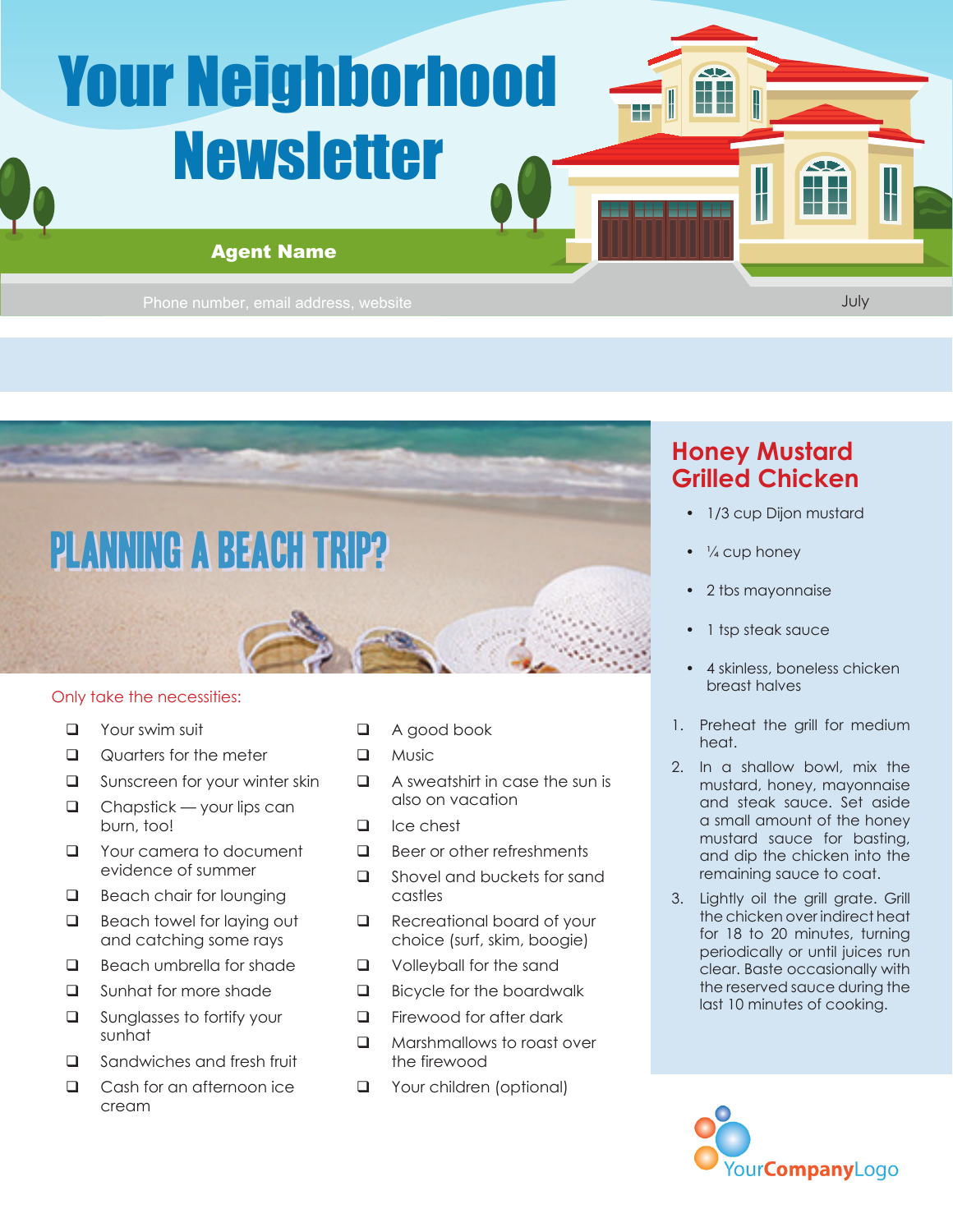# Your Neighborhood Newsletter

**Phone Agent Name**<br>
Phone number, email address, website Agent Phone number, email address, website

July

**SID** H



#### Only take the necessities:

- **D** Your swim suit
- Quarters for the meter
- **Q** Sunscreen for your winter skin
- $\Box$  Chapstick your lips can burn, too!
- **Q** Your camera to document evidence of summer
- Beach chair for lounging
- Beach towel for laying out and catching some rays
- Beach umbrella for shade
- □ Sunhat for more shade
- **Q** Sunglasses to fortify your sunhat
- □ Sandwiches and fresh fruit
- **Q** Cash for an afternoon ice cream
- A good book
- **D** Music
- $\Box$  A sweatshirt in case the sun is also on vacation
- $\Box$  Ice chest
- $\Box$  Beer or other refreshments
- Shovel and buckets for sand castles
- Recreational board of your choice (surf, skim, boogie)
- **Q** Volleyball for the sand
- **Bicycle for the boardwalk**
- $\Box$  Firewood for after dark
- **Q** Marshmallows to roast over the firewood
- **Q** Your children (optional)

### **Honey Mustard Grilled Chicken**

- 1/3 cup Dijon mustard
- $\cdot$   $\frac{1}{4}$  cup honey

H

H

H

- 2 tbs mayonnaise
- 1 tsp steak sauce
- 4 skinless, boneless chicken breast halves
- 1. Preheat the grill for medium heat.
- 2. In a shallow bowl, mix the mustard, honey, mayonnaise and steak sauce. Set aside a small amount of the honey mustard sauce for basting, and dip the chicken into the remaining sauce to coat.
- 3. Lightly oil the grill grate. Grill the chicken over indirect heat for 18 to 20 minutes, turning periodically or until juices run clear. Baste occasionally with the reserved sauce during the last 10 minutes of cooking.